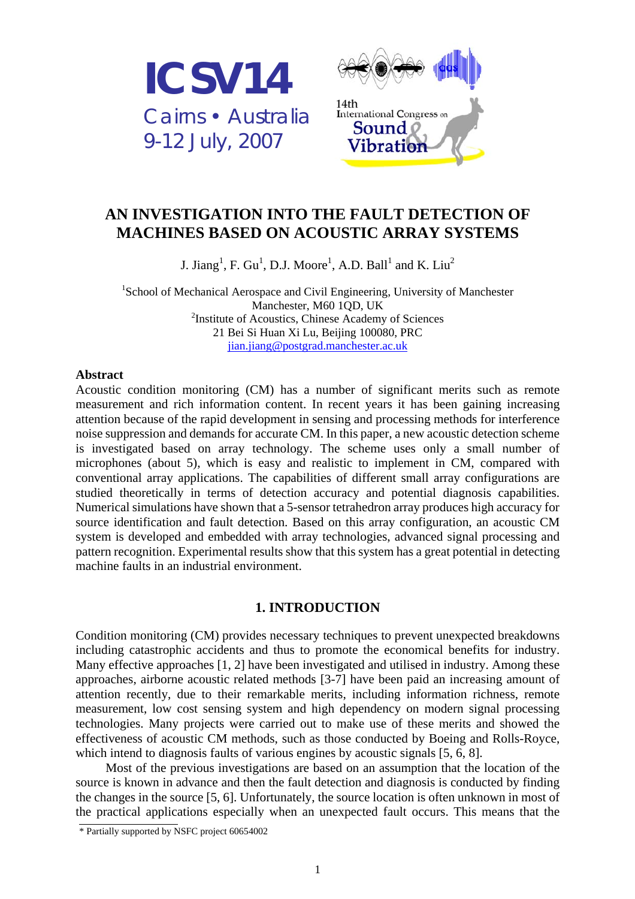



# **AN INVESTIGATION INTO THE FAULT DETECTION OF MACHINES BASED ON ACOUSTIC ARRAY SYSTEMS**

J. Jiang<sup>1</sup>, F. Gu<sup>1</sup>, D.J. Moore<sup>1</sup>, A.D. Ball<sup>1</sup> and K. Liu<sup>2</sup>

<sup>1</sup>School of Mechanical Aerospace and Civil Engineering, University of Manchester Manchester, M60 1QD, UK <sup>2</sup>Institute of Acoustics, Chinese Academy of Sciences 21 Bei Si Huan Xi Lu, Beijing 100080, PRC jian.jiang@postgrad.manchester.ac.uk

### **Abstract**

Acoustic condition monitoring (CM) has a number of significant merits such as remote measurement and rich information content. In recent years it has been gaining increasing attention because of the rapid development in sensing and processing methods for interference noise suppression and demands for accurate CM. In this paper, a new acoustic detection scheme is investigated based on array technology. The scheme uses only a small number of microphones (about 5), which is easy and realistic to implement in CM, compared with conventional array applications. The capabilities of different small array configurations are studied theoretically in terms of detection accuracy and potential diagnosis capabilities. Numerical simulations have shown that a 5-sensor tetrahedron array produces high accuracy for source identification and fault detection. Based on this array configuration, an acoustic CM system is developed and embedded with array technologies, advanced signal processing and pattern recognition. Experimental results show that this system has a great potential in detecting machine faults in an industrial environment.

# **1. INTRODUCTION**

Condition monitoring (CM) provides necessary techniques to prevent unexpected breakdowns including catastrophic accidents and thus to promote the economical benefits for industry. Many effective approaches [1, 2] have been investigated and utilised in industry. Among these approaches, airborne acoustic related methods [3-7] have been paid an increasing amount of attention recently, due to their remarkable merits, including information richness, remote measurement, low cost sensing system and high dependency on modern signal processing technologies. Many projects were carried out to make use of these merits and showed the effectiveness of acoustic CM methods, such as those conducted by Boeing and Rolls-Royce, which intend to diagnosis faults of various engines by acoustic signals [5, 6, 8].

Most of the previous investigations are based on an assumption that the location of the source is known in advance and then the fault detection and diagnosis is conducted by finding the changes in the source [5, 6]. Unfortunately, the source location is often unknown in most of the practical applications especially when an unexpected fault occurs. This means that the

<sup>\*</sup> Partially supported by NSFC project 60654002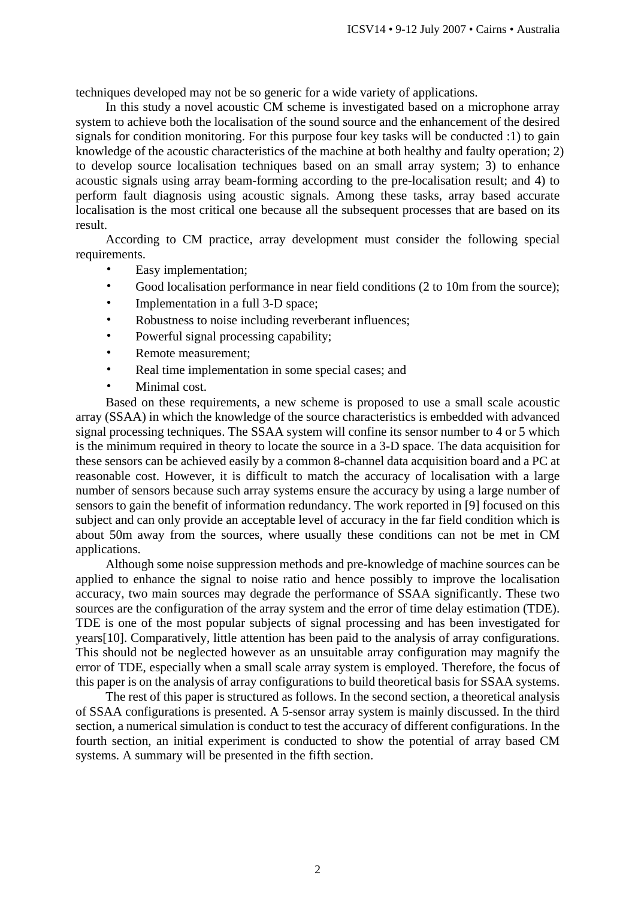techniques developed may not be so generic for a wide variety of applications.

In this study a novel acoustic CM scheme is investigated based on a microphone array system to achieve both the localisation of the sound source and the enhancement of the desired signals for condition monitoring. For this purpose four key tasks will be conducted :1) to gain knowledge of the acoustic characteristics of the machine at both healthy and faulty operation; 2) to develop source localisation techniques based on an small array system; 3) to enhance acoustic signals using array beam-forming according to the pre-localisation result; and 4) to perform fault diagnosis using acoustic signals. Among these tasks, array based accurate localisation is the most critical one because all the subsequent processes that are based on its result.

According to CM practice, array development must consider the following special requirements.

- Easy implementation;
- Good localisation performance in near field conditions (2 to 10m from the source);
- Implementation in a full 3-D space:
- Robustness to noise including reverberant influences;
- Powerful signal processing capability;
- Remote measurement;
- Real time implementation in some special cases; and
- Minimal cost.

Based on these requirements, a new scheme is proposed to use a small scale acoustic array (SSAA) in which the knowledge of the source characteristics is embedded with advanced signal processing techniques. The SSAA system will confine its sensor number to 4 or 5 which is the minimum required in theory to locate the source in a 3-D space. The data acquisition for these sensors can be achieved easily by a common 8-channel data acquisition board and a PC at reasonable cost. However, it is difficult to match the accuracy of localisation with a large number of sensors because such array systems ensure the accuracy by using a large number of sensors to gain the benefit of information redundancy. The work reported in [9] focused on this subject and can only provide an acceptable level of accuracy in the far field condition which is about 50m away from the sources, where usually these conditions can not be met in CM applications.

Although some noise suppression methods and pre-knowledge of machine sources can be applied to enhance the signal to noise ratio and hence possibly to improve the localisation accuracy, two main sources may degrade the performance of SSAA significantly. These two sources are the configuration of the array system and the error of time delay estimation (TDE). TDE is one of the most popular subjects of signal processing and has been investigated for years[10]. Comparatively, little attention has been paid to the analysis of array configurations. This should not be neglected however as an unsuitable array configuration may magnify the error of TDE, especially when a small scale array system is employed. Therefore, the focus of this paper is on the analysis of array configurations to build theoretical basis for SSAA systems.

The rest of this paper is structured as follows. In the second section, a theoretical analysis of SSAA configurations is presented. A 5-sensor array system is mainly discussed. In the third section, a numerical simulation is conduct to test the accuracy of different configurations. In the fourth section, an initial experiment is conducted to show the potential of array based CM systems. A summary will be presented in the fifth section.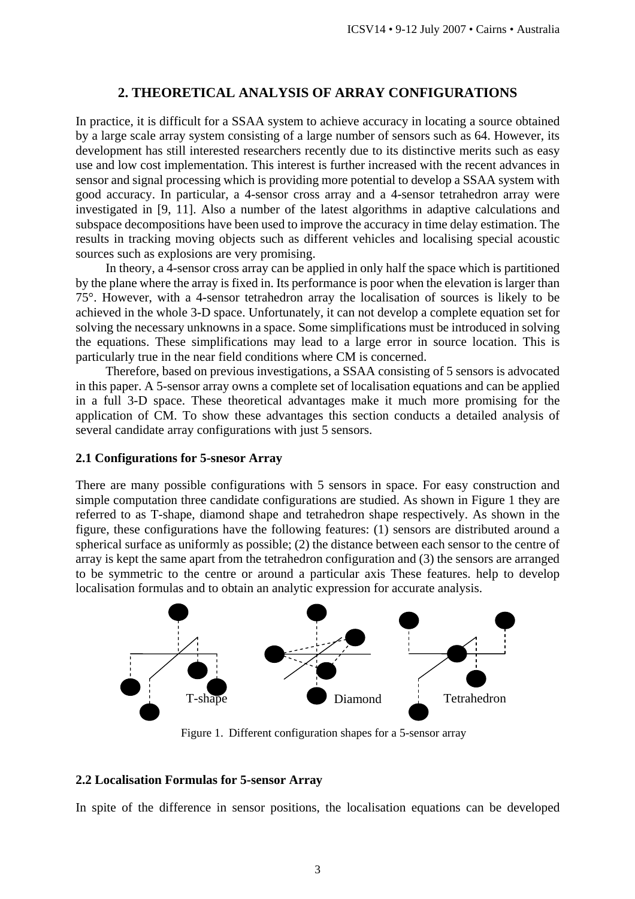# **2. THEORETICAL ANALYSIS OF ARRAY CONFIGURATIONS**

In practice, it is difficult for a SSAA system to achieve accuracy in locating a source obtained by a large scale array system consisting of a large number of sensors such as 64. However, its development has still interested researchers recently due to its distinctive merits such as easy use and low cost implementation. This interest is further increased with the recent advances in sensor and signal processing which is providing more potential to develop a SSAA system with good accuracy. In particular, a 4-sensor cross array and a 4-sensor tetrahedron array were investigated in [9, 11]. Also a number of the latest algorithms in adaptive calculations and subspace decompositions have been used to improve the accuracy in time delay estimation. The results in tracking moving objects such as different vehicles and localising special acoustic sources such as explosions are very promising.

In theory, a 4-sensor cross array can be applied in only half the space which is partitioned by the plane where the array is fixed in. Its performance is poor when the elevation is larger than 75°. However, with a 4-sensor tetrahedron array the localisation of sources is likely to be achieved in the whole 3-D space. Unfortunately, it can not develop a complete equation set for solving the necessary unknowns in a space. Some simplifications must be introduced in solving the equations. These simplifications may lead to a large error in source location. This is particularly true in the near field conditions where CM is concerned.

Therefore, based on previous investigations, a SSAA consisting of 5 sensors is advocated in this paper. A 5-sensor array owns a complete set of localisation equations and can be applied in a full 3-D space. These theoretical advantages make it much more promising for the application of CM. To show these advantages this section conducts a detailed analysis of several candidate array configurations with just 5 sensors.

## **2.1 Configurations for 5-snesor Array**

There are many possible configurations with 5 sensors in space. For easy construction and simple computation three candidate configurations are studied. As shown in Figure 1 they are referred to as T-shape, diamond shape and tetrahedron shape respectively. As shown in the figure, these configurations have the following features: (1) sensors are distributed around a spherical surface as uniformly as possible; (2) the distance between each sensor to the centre of array is kept the same apart from the tetrahedron configuration and (3) the sensors are arranged to be symmetric to the centre or around a particular axis These features. help to develop localisation formulas and to obtain an analytic expression for accurate analysis.



Figure 1. Different configuration shapes for a 5-sensor array

#### **2.2 Localisation Formulas for 5-sensor Array**

In spite of the difference in sensor positions, the localisation equations can be developed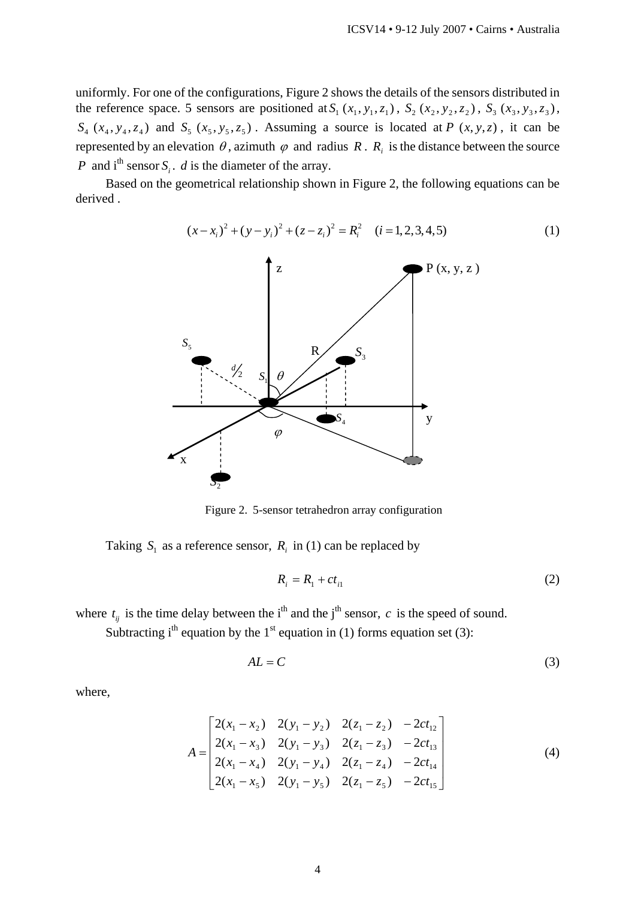uniformly. For one of the configurations, Figure 2 shows the details of the sensors distributed in the reference space. 5 sensors are positioned at  $S_1$  ( $x_1$ ,  $y_1$ ,  $z_1$ ),  $S_2$  ( $x_2$ ,  $y_2$ ,  $z_2$ ),  $S_3$  ( $x_3$ ,  $y_3$ ,  $z_3$ ),  $S_4$  ( $x_4$ ,  $y_4$ ,  $z_4$ ) and  $S_5$  ( $x_5$ ,  $y_5$ ,  $z_5$ ). Assuming a source is located at *P* ( $x$ ,  $y$ ,  $z$ ), it can be represented by an elevation  $\theta$ , azimuth  $\varphi$  and radius  $R$ .  $R_i$  is the distance between the source *P* and  $i^{\text{th}}$  sensor *S* . *d* is the diameter of the array.

Based on the geometrical relationship shown in Figure 2, the following equations can be derived .

$$
(x-x_i)^2 + (y-y_i)^2 + (z-z_i)^2 = R_i^2 \quad (i=1,2,3,4,5)
$$
 (1)



Figure 2. 5-sensor tetrahedron array configuration

Taking  $S_i$  as a reference sensor,  $R_i$  in (1) can be replaced by

$$
R_i = R_1 + ct_{i1} \tag{2}
$$

where  $t_{ij}$  is the time delay between the i<sup>th</sup> and the j<sup>th</sup> sensor, *c* is the speed of sound.

Subtracting i<sup>th</sup> equation by the 1<sup>st</sup> equation in (1) forms equation set (3):

$$
AL = C \tag{3}
$$

where,

$$
A = \begin{bmatrix} 2(x_1 - x_2) & 2(y_1 - y_2) & 2(z_1 - z_2) & -2ct_{12} \\ 2(x_1 - x_3) & 2(y_1 - y_3) & 2(z_1 - z_3) & -2ct_{13} \\ 2(x_1 - x_4) & 2(y_1 - y_4) & 2(z_1 - z_4) & -2ct_{14} \\ 2(x_1 - x_5) & 2(y_1 - y_5) & 2(z_1 - z_5) & -2ct_{15} \end{bmatrix}
$$
 (4)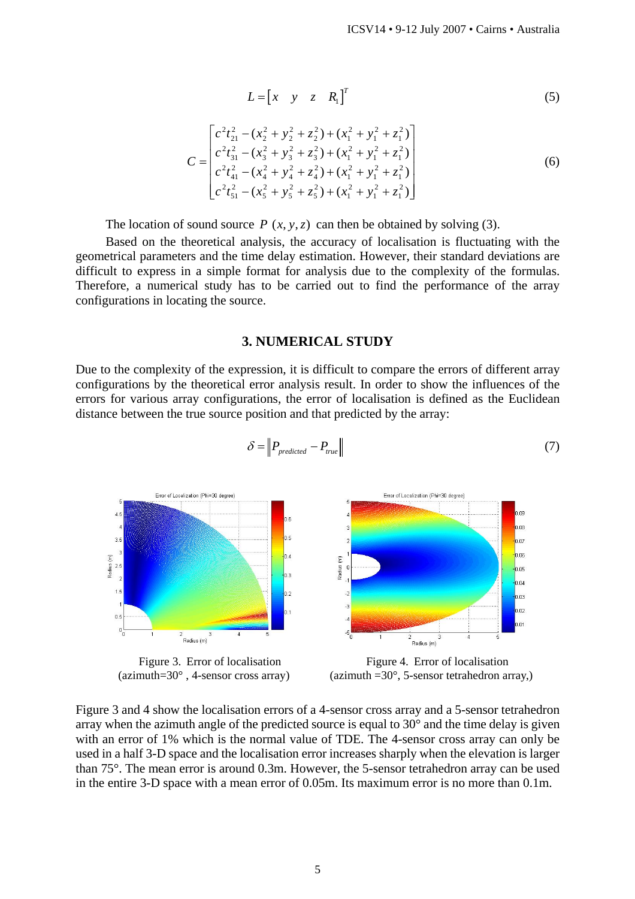$$
L = \begin{bmatrix} x & y & z & R_1 \end{bmatrix}^T \tag{5}
$$

$$
C = \begin{bmatrix} c^2 t_{21}^2 - (x_2^2 + y_2^2 + z_2^2) + (x_1^2 + y_1^2 + z_1^2) \\ c^2 t_{31}^2 - (x_3^2 + y_3^2 + z_3^2) + (x_1^2 + y_1^2 + z_1^2) \\ c^2 t_{41}^2 - (x_4^2 + y_4^2 + z_4^2) + (x_1^2 + y_1^2 + z_1^2) \\ c^2 t_{51}^2 - (x_5^2 + y_5^2 + z_5^2) + (x_1^2 + y_1^2 + z_1^2) \end{bmatrix}
$$
(6)

The location of sound source  $P(x, y, z)$  can then be obtained by solving (3).

Based on the theoretical analysis, the accuracy of localisation is fluctuating with the geometrical parameters and the time delay estimation. However, their standard deviations are difficult to express in a simple format for analysis due to the complexity of the formulas. Therefore, a numerical study has to be carried out to find the performance of the array configurations in locating the source.

### **3. NUMERICAL STUDY**

Due to the complexity of the expression, it is difficult to compare the errors of different array configurations by the theoretical error analysis result. In order to show the influences of the errors for various array configurations, the error of localisation is defined as the Euclidean distance between the true source position and that predicted by the array:



$$
\delta = \left\| P_{predicted} - P_{true} \right\| \tag{7}
$$

Figure 3. Error of localisation (azimuth=30° , 4-sensor cross array)



Figure 3 and 4 show the localisation errors of a 4-sensor cross array and a 5-sensor tetrahedron array when the azimuth angle of the predicted source is equal to  $30^{\circ}$  and the time delay is given with an error of 1% which is the normal value of TDE. The 4-sensor cross array can only be used in a half 3-D space and the localisation error increases sharply when the elevation is larger than 75°. The mean error is around 0.3m. However, the 5-sensor tetrahedron array can be used in the entire 3-D space with a mean error of 0.05m. Its maximum error is no more than 0.1m.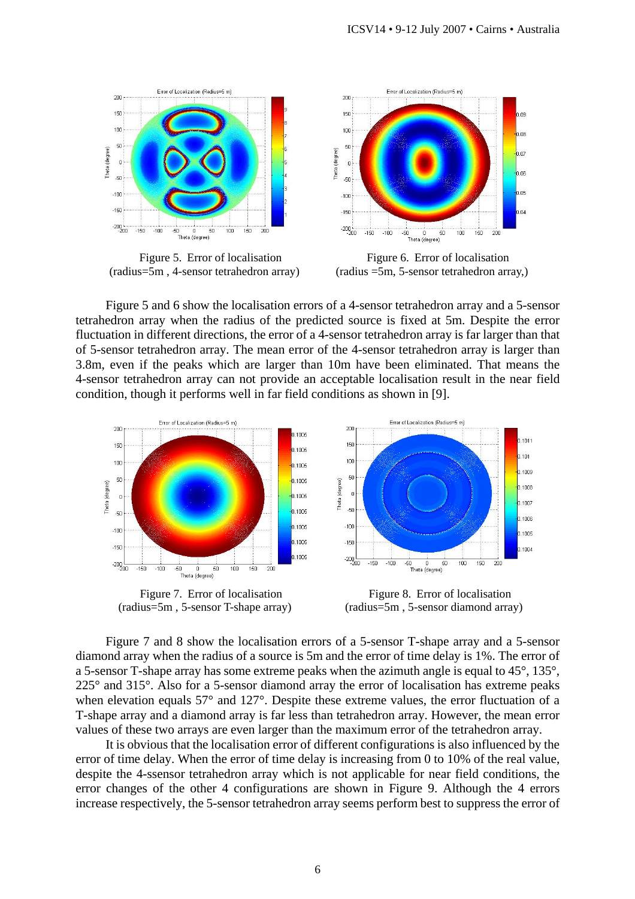

Figure 5 and 6 show the localisation errors of a 4-sensor tetrahedron array and a 5-sensor tetrahedron array when the radius of the predicted source is fixed at 5m. Despite the error fluctuation in different directions, the error of a 4-sensor tetrahedron array is far larger than that of 5-sensor tetrahedron array. The mean error of the 4-sensor tetrahedron array is larger than 3.8m, even if the peaks which are larger than 10m have been eliminated. That means the 4-sensor tetrahedron array can not provide an acceptable localisation result in the near field condition, though it performs well in far field conditions as shown in [9].



Figure 7. Error of localisation (radius=5m , 5-sensor T-shape array)

Figure 8. Error of localisation (radius=5m , 5-sensor diamond array)

Figure 7 and 8 show the localisation errors of a 5-sensor T-shape array and a 5-sensor diamond array when the radius of a source is 5m and the error of time delay is 1%. The error of a 5-sensor T-shape array has some extreme peaks when the azimuth angle is equal to 45°, 135°, 225° and 315°. Also for a 5-sensor diamond array the error of localisation has extreme peaks when elevation equals 57° and 127°. Despite these extreme values, the error fluctuation of a T-shape array and a diamond array is far less than tetrahedron array. However, the mean error values of these two arrays are even larger than the maximum error of the tetrahedron array.

It is obvious that the localisation error of different configurations is also influenced by the error of time delay. When the error of time delay is increasing from 0 to 10% of the real value, despite the 4-ssensor tetrahedron array which is not applicable for near field conditions, the error changes of the other 4 configurations are shown in Figure 9. Although the 4 errors increase respectively, the 5-sensor tetrahedron array seems perform best to suppress the error of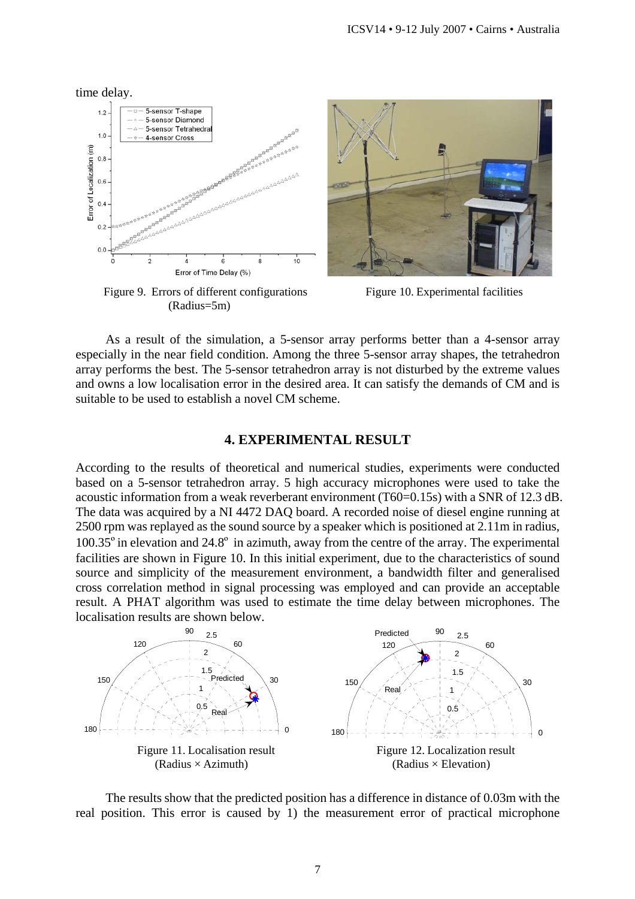

Figure 9. Errors of different configurations (Radius=5m)



Figure 10. Experimental facilities

As a result of the simulation, a 5-sensor array performs better than a 4-sensor array especially in the near field condition. Among the three 5-sensor array shapes, the tetrahedron array performs the best. The 5-sensor tetrahedron array is not disturbed by the extreme values and owns a low localisation error in the desired area. It can satisfy the demands of CM and is suitable to be used to establish a novel CM scheme.

# **4. EXPERIMENTAL RESULT**

According to the results of theoretical and numerical studies, experiments were conducted based on a 5-sensor tetrahedron array. 5 high accuracy microphones were used to take the acoustic information from a weak reverberant environment (T60=0.15s) with a SNR of 12.3 dB. The data was acquired by a NI 4472 DAQ board. A recorded noise of diesel engine running at 2500 rpm was replayed as the sound source by a speaker which is positioned at 2.11m in radius,  $100.35^{\circ}$  in elevation and  $24.8^{\circ}$  in azimuth, away from the centre of the array. The experimental facilities are shown in Figure 10. In this initial experiment, due to the characteristics of sound source and simplicity of the measurement environment, a bandwidth filter and generalised cross correlation method in signal processing was employed and can provide an acceptable result. A PHAT algorithm was used to estimate the time delay between microphones. The localisation results are shown below.



The results show that the predicted position has a difference in distance of 0.03m with the real position. This error is caused by 1) the measurement error of practical microphone